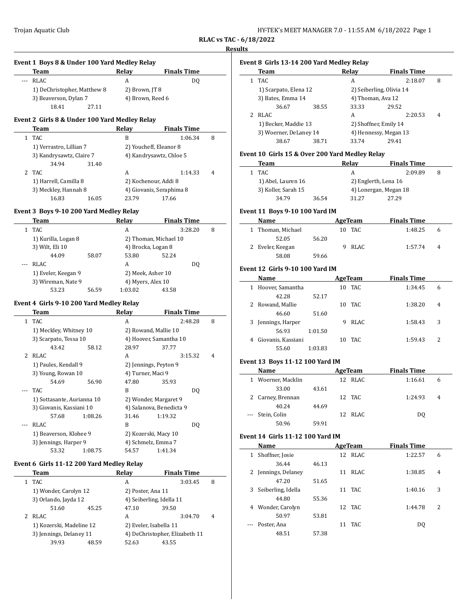| HY-TEK's MEET MANAGER 7.0 - 11:55 AM 6/18/2022 Page 1 |  |  |
|-------------------------------------------------------|--|--|
|-------------------------------------------------------|--|--|

**RLAC vs TAC - 6/18/2022 Results**

|              | Event 1 Boys 8 & Under 100 Yard Medley Relay  |                                                  |   |
|--------------|-----------------------------------------------|--------------------------------------------------|---|
|              | Team                                          | Relay<br><b>Finals Time</b>                      |   |
| ---          | <b>RLAC</b>                                   | DQ<br>A                                          |   |
|              | 1) DeChristopher, Matthew 8                   | 2) Brown, JT 8                                   |   |
|              | 3) Beaverson, Dylan 7<br>18.41<br>27.11       | 4) Brown, Reed 6                                 |   |
|              |                                               |                                                  |   |
|              | Event 2 Girls 8 & Under 100 Yard Medley Relay |                                                  |   |
|              | Team                                          | <b>Relay</b><br><b>Finals Time</b>               |   |
| $\mathbf{1}$ | TAC                                           | B<br>1:06.34                                     | 8 |
|              | 1) Verrastro, Lillian 7                       | 2) Youcheff, Eleanor 8                           |   |
|              | 3) Kandrysawtz, Claire 7                      | 4) Kandrysawtz, Chloe 5                          |   |
|              | 34.94<br>31.40                                |                                                  |   |
| 2            | TAC                                           | A<br>1:14.33                                     | 4 |
|              | 1) Harrell, Camilla 8                         | 2) Kochenour, Addi 8                             |   |
|              | 3) Meckley, Hannah 8                          | 4) Giovanis, Seraphima 8                         |   |
|              | 16.83<br>16.05                                | 23.79<br>17.66                                   |   |
|              | Event 3 Boys 9-10 200 Yard Medley Relay       |                                                  |   |
|              | Team                                          | Relay<br><b>Finals Time</b>                      |   |
| $\mathbf{1}$ | TAC                                           | A<br>3:28.20                                     | 8 |
|              | 1) Kurilla, Logan 8                           | 2) Thoman, Michael 10                            |   |
|              | 3) Wilt, Eli 10                               | 4) Brocka, Logan 8                               |   |
|              | 44.09<br>58.07                                | 53.80<br>52.24                                   |   |
| ---          | <b>RLAC</b>                                   | A<br>DQ                                          |   |
|              |                                               |                                                  |   |
|              | 1) Eveler, Keegan 9                           | 2) Meek, Asher 10                                |   |
|              | 3) Wireman, Nate 9                            | 4) Myers, Alex 10<br>1:03.02                     |   |
|              | 53.23<br>56.59                                | 43.58                                            |   |
|              | Event 4 Girls 9-10 200 Yard Medley Relay      |                                                  |   |
|              | Team                                          | Relay<br><b>Finals Time</b>                      |   |
| $\mathbf{1}$ | TAC                                           | A<br>2:48.28                                     | 8 |
|              | 1) Meckley, Whitney 10                        | 2) Rowand, Mallie 10                             |   |
|              | 3) Scarpato, Tessa 10                         | 4) Hoover, Samantha 10                           |   |
|              | 43.42<br>58.12                                | 28.97<br>37.77                                   |   |
|              | 2 RLAC                                        | A<br>3:15.32                                     | 4 |
|              | 1) Paules, Kendall 9                          | 2) Jennings, Peyton 9                            |   |
|              | 3) Young, Rowan 10                            | 4) Turner, Maci 9                                |   |
|              | 54.69<br>56.90                                | 47.80<br>35.93                                   |   |
|              | <b>TAC</b>                                    | B<br>DQ                                          |   |
|              | 1) Sottasante, Aurianna 10                    | 2) Wonder, Margaret 9                            |   |
|              | 3) Giovanis, Kassiani 10                      | 4) Salanova, Benedicta 9                         |   |
|              | 57.68<br>1:08.26                              | 31.46<br>1:19.32                                 |   |
|              | <b>RLAC</b>                                   | B<br>DQ                                          |   |
|              | 1) Beaverson, Klohee 9                        | 2) Kozerski, Macy 10                             |   |
|              | 3) Jennings, Harper 9                         | 4) Schmelz, Emma 7                               |   |
|              | 53.32<br>1:08.75                              | 54.57<br>1:41.34                                 |   |
|              |                                               |                                                  |   |
|              | Event 6 Girls 11-12 200 Yard Medley Relay     |                                                  |   |
|              | Team                                          | <b>Relay</b><br><b>Finals Time</b>               |   |
| $\mathbf{1}$ | TAC                                           | A<br>3:03.45                                     | 8 |
|              | 1) Wonder, Carolyn 12                         | 2) Poster, Ana 11                                |   |
|              |                                               | 4) Seiberling, Idella 11                         |   |
|              | 3) Orlando, Jayda 12                          |                                                  |   |
|              | 51.60<br>45.25                                | 47.10<br>39.50                                   |   |
| 2            | <b>RLAC</b>                                   | A<br>3:04.70                                     | 4 |
|              | 1) Kozerski, Madeline 12                      | 2) Eveler, Isabella 11                           |   |
|              | 3) Jennings, Delaney 11<br>39.93<br>48.59     | 4) DeChristopher, Elizabeth 11<br>52.63<br>43.55 |   |

## **Event 8 Girls 13-14 200 Yard Medley Relay**

|  | Team                                           |       | Relay                 | <b>Finals Time</b>       |   |  |
|--|------------------------------------------------|-------|-----------------------|--------------------------|---|--|
|  | TAC.                                           |       | А                     | 2:18.07                  | 8 |  |
|  | 1) Scarpato, Elena 12                          |       |                       | 2) Seiberling, Olivia 14 |   |  |
|  | 3) Bates, Emma 14                              |       |                       | 4) Thoman, Ava 12        |   |  |
|  | 36.67                                          | 38.55 | 33.33                 | 29.52                    |   |  |
|  | RLAC.                                          |       | А                     | 2:20.53                  | 4 |  |
|  | 1) Becker, Maddie 13<br>3) Woerner, DeLaney 14 |       | 2) Shoffner, Emily 14 |                          |   |  |
|  |                                                |       |                       | 4) Hennessy, Megan 13    |   |  |
|  | 38.67                                          | 38.71 | 33.74                 | 29.41                    |   |  |
|  |                                                |       |                       |                          |   |  |

## **Event 10 Girls 15 & Over 200 Yard Medley Relay**

| Team                |       | Relav | <b>Finals Time</b>    |  |
|---------------------|-------|-------|-----------------------|--|
| TAC.                |       | А     | 2:09.89               |  |
| 1) Abel, Lauren 16  |       |       | 2) Englerth, Lena 16  |  |
| 3) Koller, Sarah 15 |       |       | 4) Lonergan, Megan 18 |  |
| 34.79               | 36.54 | 31.27 | 27.29                 |  |

## **Event 11 Boys 9-10 100 Yard IM**

| Name              |       | AgeTeam | <b>Finals Time</b> |   |
|-------------------|-------|---------|--------------------|---|
| 1 Thoman, Michael |       | 10 TAC  | 1:48.25            | 6 |
| 52.05             | 56.20 |         |                    |   |
| 2 Eveler, Keegan  |       | 9 RLAC  | 1:57.74            | 4 |
| 58.08             | 59.66 |         |                    |   |

## **Event 12 Girls 9-10 100 Yard IM**

 $\sim$ 

|   | Name               |         |    | AgeTeam | <b>Finals Time</b> |   |
|---|--------------------|---------|----|---------|--------------------|---|
|   | Hoover, Samantha   |         | 10 | TAC     | 1:34.45            | 6 |
|   | 42.28              | 52.17   |    |         |                    |   |
|   | Rowand, Mallie     |         | 10 | TAC.    | 1:38.20            | 4 |
|   | 46.60              | 51.60   |    |         |                    |   |
|   | Jennings, Harper   |         | 9  | RLAC.   | 1:58.43            | 3 |
|   | 56.93              | 1:01.50 |    |         |                    |   |
| 4 | Giovanis, Kassiani |         | 10 | TAC.    | 1:59.43            | 2 |
|   | 55.60              | 1:03.83 |    |         |                    |   |

## **Event 13 Boys 11-12 100 Yard IM**

|   | <b>Name</b>       |       | AgeTeam | <b>Finals Time</b> |   |  |
|---|-------------------|-------|---------|--------------------|---|--|
| 1 | Woerner, Macklin  |       | 12 RLAC | 1:16.61            | 6 |  |
|   | 33.00             | 43.61 |         |                    |   |  |
|   | 2 Carney, Brennan |       | 12 TAC  | 1:24.93            | 4 |  |
|   | 40.24             | 44.69 |         |                    |   |  |
|   | --- Stein, Colin  |       | 12 RLAC | DO.                |   |  |
|   | 50.96             | 59.91 |         |                    |   |  |

## **Event 14 Girls 11-12 100 Yard IM**

|   | Name                |       |    | AgeTeam | <b>Finals Time</b> |                |
|---|---------------------|-------|----|---------|--------------------|----------------|
| 1 | Shoffner, Josie     |       |    | 12 RLAC | 1:22.57            | 6              |
|   | 36.44               | 46.13 |    |         |                    |                |
|   | 2 Jennings, Delanev |       | 11 | RLAC    | 1:38.85            | $\overline{4}$ |
|   | 47.20               | 51.65 |    |         |                    |                |
| 3 | Seiberling, Idella  |       |    | 11 TAC  | 1:40.16            | 3              |
|   | 44.80               | 55.36 |    |         |                    |                |
| 4 | Wonder, Carolyn     |       |    | 12 TAC  | 1:44.78            | 2              |
|   | 50.97               | 53.81 |    |         |                    |                |
|   | --- Poster, Ana     |       | 11 | TAC.    | DO.                |                |
|   | 48.51               | 57.38 |    |         |                    |                |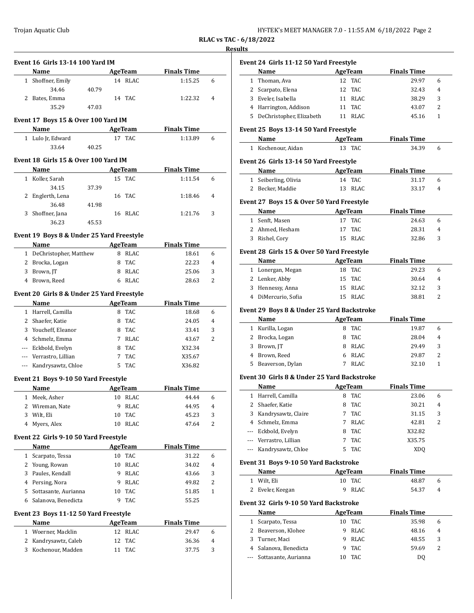| HY-TEK's MEET MANAGER 7.0 - 11:55 AM 6/18/2022 Page 2 |  |  |
|-------------------------------------------------------|--|--|
|-------------------------------------------------------|--|--|

# **RLAC vs TAC - 6/18/2022**

## **Results**

|              | <b>Event 16 Girls 13-14 100 Yard IM</b><br>Name |       |    | AgeTeam        | <b>Finals Time</b> |                |
|--------------|-------------------------------------------------|-------|----|----------------|--------------------|----------------|
|              | 1 Shoffner, Emily                               |       |    | 14 RLAC        | 1:15.25            | 6              |
|              | 34.46                                           | 40.79 |    |                |                    |                |
|              | 2 Bates. Emma                                   |       |    | 14 TAC         | 1:22.32            | 4              |
|              | 35.29                                           | 47.03 |    |                |                    |                |
|              | Event 17 Boys 15 & Over 100 Yard IM             |       |    |                |                    |                |
|              | Name                                            |       |    | AgeTeam        | <b>Finals Time</b> |                |
|              | 1 Lulo Jr, Edward                               |       |    | 17 TAC         | 1:13.89            | 6              |
|              | 33.64                                           | 40.25 |    |                |                    |                |
|              | Event 18 Girls 15 & Over 100 Yard IM            |       |    |                |                    |                |
|              | Name                                            |       |    | AgeTeam        | <b>Finals Time</b> |                |
|              | 1 Koller, Sarah                                 |       |    | 15 TAC         | 1:11.54            | 6              |
|              | 34.15                                           | 37.39 |    |                |                    |                |
|              | 2 Englerth, Lena                                |       |    | 16 TAC         | 1:18.46            | 4              |
|              | 36.48                                           | 41.98 |    |                |                    |                |
|              | 3 Shoffner, Jana                                |       |    | 16 RLAC        | 1:21.76            | 3              |
|              | 36.23                                           | 45.53 |    |                |                    |                |
|              | Event 19 Boys 8 & Under 25 Yard Freestyle       |       |    |                |                    |                |
|              | <b>Name</b>                                     |       |    | AgeTeam        | <b>Finals Time</b> |                |
|              | 1 DeChristopher, Matthew                        |       |    | 8 RLAC         | 18.61              | 6              |
|              | 2 Brocka, Logan                                 |       |    | 8 TAC          | 22.23              | 4              |
|              | 3 Brown, JT                                     |       |    | 8 RLAC         | 25.06              | 3              |
| 4            | Brown, Reed                                     |       | 6  | RLAC           | 28.63              | 2              |
|              | Event 20 Girls 8 & Under 25 Yard Freestyle      |       |    |                |                    |                |
|              | <b>Name</b>                                     |       |    | AgeTeam        | <b>Finals Time</b> |                |
|              | 1 Harrell, Camilla                              |       |    | 8 TAC          | 18.68              | 6              |
|              | 2 Shaefer, Katie                                |       |    | 8 TAC          | 24.05              | $\overline{4}$ |
|              | 3 Youcheff, Eleanor                             |       |    | 8 TAC          | 33.41              | 3              |
|              | 4 Schmelz, Emma                                 |       |    | 7 RLAC         | 43.67              | 2              |
|              | --- Eckbold, Evelyn                             |       |    | 8 TAC          | X32.34             |                |
|              | --- Verrastro, Lillian                          |       | 7  | TAC            | X35.67             |                |
|              | --- Kandrysawtz, Chloe                          |       | 5. | TAC            | X36.82             |                |
|              | Event 21 Boys 9-10 50 Yard Freestyle            |       |    |                |                    |                |
|              | Name                                            |       |    | AgeTeam        | <b>Finals Time</b> |                |
| 1            | Meek, Asher                                     |       | 10 | RLAC           | 44.44              | 6              |
| 2            | Wireman, Nate                                   |       | 9  | RLAC           | 44.95              | 4              |
| 3            | Wilt, Eli                                       |       | 10 | TAC            | 45.23              | 3              |
| 4            | Myers, Alex                                     |       | 10 | RLAC           | 47.64              | 2              |
|              | Event 22 Girls 9-10 50 Yard Freestyle           |       |    |                |                    |                |
|              | Name                                            |       |    | <b>AgeTeam</b> | <b>Finals Time</b> |                |
|              | 1 Scarpato, Tessa                               |       | 10 | TAC            | 31.22              | 6              |
|              | 2 Young, Rowan                                  |       | 10 | RLAC           | 34.02              | 4              |
| 3            | Paules, Kendall                                 |       | 9  | RLAC           | 43.66              | 3              |
|              | 4 Persing, Nora                                 |       | 9  | RLAC           | 49.82              | 2              |
|              | 5 Sottasante, Aurianna                          |       | 10 | TAC            | 51.85              | 1              |
| 6            | Salanova, Benedicta                             |       | 9  | TAC            | 55.25              |                |
|              | Event 23 Boys 11-12 50 Yard Freestyle           |       |    |                |                    |                |
|              | Name                                            |       |    | <b>AgeTeam</b> | <b>Finals Time</b> |                |
| $\mathbf{1}$ | Woerner, Macklin                                |       | 12 | RLAC           | 29.47              | 6              |
| 2            | Kandrysawtz, Caleb                              |       | 12 | TAC            | 36.36              | 4              |
|              | 3 Kochenour, Madden                             |       | 11 | TAC            | 37.75              | 3              |
|              |                                                 |       |    |                |                    |                |

|              | Event 24 Girls 11-12 50 Yard Freestyle                                                                          |         |                       |                    |                |
|--------------|-----------------------------------------------------------------------------------------------------------------|---------|-----------------------|--------------------|----------------|
|              | Name                                                                                                            |         | <b>AgeTeam</b>        | <b>Finals Time</b> |                |
| $\mathbf{1}$ | Thoman, Ava                                                                                                     | 12      | TAC                   | 29.97              | 6              |
|              | 2 Scarpato, Elena                                                                                               | 12      | TAC                   | 32.43              | 4              |
|              | 3 Eveler, Isabella                                                                                              |         | 11 RLAC               | 38.29              | 3              |
|              | 4 Harrington, Addison                                                                                           |         | 11 TAC                | 43.07              | 2              |
|              | 5 DeChristopher, Elizabeth                                                                                      |         | 11 RLAC               | 45.16              | 1              |
|              | Event 25 Boys 13-14 50 Yard Freestyle                                                                           |         |                       |                    |                |
|              | Name AgeTeam                                                                                                    |         |                       | <b>Finals Time</b> |                |
|              | 1 Kochenour, Aidan                                                                                              |         | 13 TAC                | 34.39              | 6              |
|              | Event 26 Girls 13-14 50 Yard Freestyle                                                                          |         |                       |                    |                |
|              | <b>Name</b><br>and the company of the company                                                                   |         | <b>AgeTeam</b>        | <b>Finals Time</b> |                |
|              | 1 Seiberling, Olivia                                                                                            |         | 14 TAC                | 31.17              | 6              |
|              | 2 Becker, Maddie                                                                                                | 13      | <b>RLAC</b>           | 33.17              | $\overline{4}$ |
|              | Event 27 Boys 15 & Over 50 Yard Freestyle                                                                       |         |                       |                    |                |
|              | Name and the state of the state of the state of the state of the state of the state of the state of the state o |         | AgeTeam               | <b>Finals Time</b> |                |
|              | 1 Senft, Masen                                                                                                  | 17      | <b>TAC</b>            | 24.63              | 6              |
|              | 2 Ahmed, Hesham                                                                                                 | 17      | TAC                   | 28.31              | 4              |
|              | 3 Rishel, Cory                                                                                                  |         | 15 RLAC               | 32.86              | 3              |
|              | Event 28 Girls 15 & Over 50 Yard Freestyle                                                                      |         |                       |                    |                |
|              | <b>Name</b>                                                                                                     |         | AgeTeam               | <b>Finals Time</b> |                |
|              | 1 Lonergan, Megan                                                                                               |         | 18 TAC                | 29.23              | 6              |
|              | 2 Lenker, Abby                                                                                                  |         | 15 TAC                | 30.64              | 4              |
|              | 3 Hennessy, Anna                                                                                                |         | 15 RLAC               | 32.12              | 3              |
|              | 4 DiMercurio, Sofia                                                                                             |         | 15 RLAC               | 38.81              | 2              |
|              | Event 29 Boys 8 & Under 25 Yard Backstroke                                                                      |         |                       |                    |                |
|              | Name                                                                                                            |         | <b>AgeTeam</b>        | <b>Finals Time</b> |                |
|              | 1 Kurilla, Logan                                                                                                |         | 8 TAC                 | 19.87              | 6              |
|              | 2 Brocka, Logan                                                                                                 | 8       | <b>TAC</b>            | 28.04              | 4              |
|              | 3 Brown, JT                                                                                                     |         | 8 RLAC                | 29.49              | 3              |
|              | 4 Brown, Reed                                                                                                   |         | 6 RLAC                | 29.87              | 2              |
| 5            | Beaverson, Dylan                                                                                                | 7       | <b>RLAC</b>           | 32.10              | 1              |
|              | Event 30 Girls 8 & Under 25 Yard Backstroke                                                                     |         |                       |                    |                |
|              | Name                                                                                                            |         | <b>AgeTeam</b>        | <b>Finals Time</b> |                |
| 1            | Harrell, Camilla                                                                                                | 8       | <b>TAC</b>            | 23.06              | 6              |
| 2            | Shaefer, Katie                                                                                                  | 8       | TAC                   | 30.21              | 4              |
| 3            | Kandrysawtz, Claire                                                                                             | 7       | <b>TAC</b>            | 31.15              | 3              |
|              | 4 Schmelz, Emma                                                                                                 | 7       | <b>RLAC</b>           | 42.81              | 2              |
| ---          | Eckbold, Evelyn                                                                                                 | 8       | TAC                   | X32.82             |                |
|              | --- Verrastro, Lillian                                                                                          | 7       | TAC                   | X35.75             |                |
| ---          | Kandrysawtz, Chloe                                                                                              | 5       | TAC                   | XDQ                |                |
|              |                                                                                                                 |         |                       |                    |                |
|              | Event 31 Boys 9-10 50 Yard Backstroke<br>Name                                                                   |         | AgeTeam               | <b>Finals Time</b> |                |
| 1            | Wilt, Eli                                                                                                       | 10      | TAC                   | 48.87              | 6              |
| 2            | Eveler, Keegan                                                                                                  | 9       | RLAC                  | 54.37              | 4              |
|              |                                                                                                                 |         |                       |                    |                |
|              | Event 32 Girls 9-10 50 Yard Backstroke                                                                          |         |                       |                    |                |
|              | Name                                                                                                            |         | <b>AgeTeam</b><br>TAC | <b>Finals Time</b> |                |
|              | Scarpato, Tessa                                                                                                 | 10      |                       | 35.98              | 6              |
| $\mathbf{1}$ |                                                                                                                 |         |                       |                    |                |
|              | 2 Beaverson, Klohee                                                                                             | 9       | RLAC                  | 48.16              |                |
| 3            | Turner, Maci                                                                                                    | 9       | RLAC                  | 48.55              |                |
|              | 4 Salanova, Benedicta<br>Sottasante, Aurianna                                                                   | 9<br>10 | TAC<br>TAC            | 59.69<br>DQ        | 4<br>3<br>2    |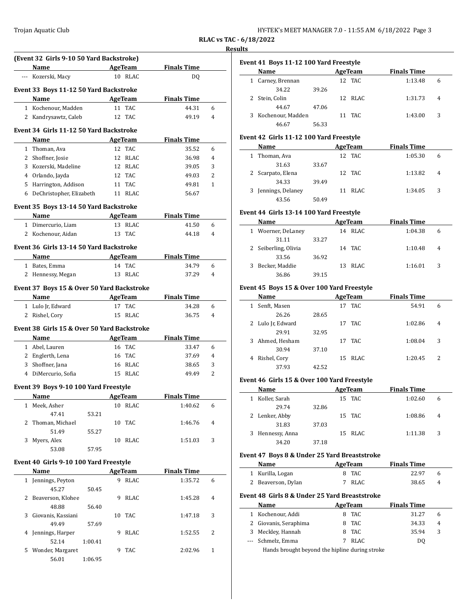| HY-TEK's MEET MANAGER 7.0 - 11:55 AM 6/18/2022 Page 3 |  |  |  |
|-------------------------------------------------------|--|--|--|
|-------------------------------------------------------|--|--|--|

**RLAC vs TAC - 6/18/2022**

#### **Results**

|              | (Event 32 Girls 9-10 50 Yard Backstroke)    |         |         |                |                    |   |
|--------------|---------------------------------------------|---------|---------|----------------|--------------------|---|
|              | Name                                        |         |         | <b>AgeTeam</b> | <b>Finals Time</b> |   |
|              | --- Kozerski, Macy                          |         |         | 10 RLAC        | DQ                 |   |
|              | Event 33 Boys 11-12 50 Yard Backstroke      |         |         |                |                    |   |
|              | Name                                        |         |         | <b>AgeTeam</b> | <b>Finals Time</b> |   |
|              | 1 Kochenour, Madden                         |         | 11      | <b>TAC</b>     | 44.31              | 6 |
|              | 2 Kandrysawtz, Caleb                        |         |         | 12 TAC         | 49.19              | 4 |
|              | Event 34 Girls 11-12 50 Yard Backstroke     |         |         |                |                    |   |
|              | Name                                        |         |         | AgeTeam        | <b>Finals Time</b> |   |
|              | 1 Thoman, Ava                               |         |         | 12 TAC         | 35.52              | 6 |
|              | 2 Shoffner, Josie                           |         |         | 12 RLAC        | 36.98              | 4 |
|              | 3 Kozerski, Madeline                        |         |         | 12 RLAC        | 39.05              | 3 |
|              | 4 Orlando, Jayda                            |         |         | 12 TAC         | 49.03              | 2 |
|              | 5 Harrington, Addison                       |         |         | 11 TAC         | 49.81              | 1 |
|              | 6 DeChristopher, Elizabeth                  |         |         | 11 RLAC        | 56.67              |   |
|              |                                             |         |         |                |                    |   |
|              | Event 35 Boys 13-14 50 Yard Backstroke      |         |         |                |                    |   |
|              | Name                                        |         | AgeTeam |                | <b>Finals Time</b> |   |
|              | 1 Dimercurio, Liam                          |         |         | 13 RLAC        | 41.50              | 6 |
|              | 2 Kochenour, Aidan                          |         |         | 13 TAC         | 44.18              | 4 |
|              | Event 36 Girls 13-14 50 Yard Backstroke     |         |         |                |                    |   |
|              | Name                                        |         |         | AgeTeam        | <b>Finals Time</b> |   |
|              | 1 Bates, Emma                               |         |         | 14 TAC         | 34.79              | 6 |
|              | 2 Hennessy, Megan                           |         |         | 13 RLAC        | 37.29              | 4 |
|              |                                             |         |         |                |                    |   |
|              | Event 37 Boys 15 & Over 50 Yard Backstroke  |         |         |                |                    |   |
|              | Name                                        |         |         | <b>AgeTeam</b> | <b>Finals Time</b> |   |
|              | 1 Lulo Jr, Edward                           |         |         | 17 TAC         | 34.28              | 6 |
|              | 2 Rishel, Cory                              |         |         | 15 RLAC        | 36.75              | 4 |
|              | Event 38 Girls 15 & Over 50 Yard Backstroke |         |         |                |                    |   |
|              | Name                                        |         |         | AgeTeam        | <b>Finals Time</b> |   |
|              | 1 Abel, Lauren                              |         |         | 16 TAC         | 33.47              |   |
|              | 2 Englerth, Lena                            |         |         | 16 TAC         | 37.69              |   |
|              |                                             |         |         |                |                    | 6 |
|              |                                             |         |         |                |                    | 4 |
|              | 3 Shoffner, Jana                            |         |         | 16 RLAC        | 38.65              | 3 |
|              | 4 DiMercurio, Sofia                         |         |         | 15 RLAC        | 49.49              | 2 |
|              | Event 39 Boys 9-10 100 Yard Freestyle       |         |         |                |                    |   |
|              | Name                                        |         |         | AgeTeam        | <b>Finals Time</b> |   |
| $\mathbf{1}$ | Meek, Asher                                 |         |         | 10 RLAC        | 1:40.62            | 6 |
|              | 47.41                                       | 53.21   |         |                |                    |   |
|              | 2 Thoman, Michael                           |         |         | 10 TAC         | 1:46.76            | 4 |
|              | 51.49                                       | 55.27   |         |                |                    |   |
|              | 3 Myers, Alex                               |         |         | 10 RLAC        | 1:51.03            | 3 |
|              | 53.08                                       | 57.95   |         |                |                    |   |
|              |                                             |         |         |                |                    |   |
|              | Event 40 Girls 9-10 100 Yard Freestyle      |         |         |                |                    |   |
|              | <b>Name</b>                                 |         |         | AgeTeam        | <b>Finals Time</b> |   |
|              | 1 Jennings, Peyton                          |         |         | 9 RLAC         | 1:35.72            | 6 |
|              | 45.27                                       | 50.45   |         |                |                    |   |
|              | 2 Beaverson, Klohee                         |         |         | 9 RLAC         | 1:45.28            | 4 |
|              | 48.88                                       | 56.40   |         |                |                    |   |
| 3            | Giovanis, Kassiani                          |         |         | 10 TAC         | 1:47.18            | 3 |
|              | 49.49                                       | 57.69   |         |                |                    |   |
|              | 4 Jennings, Harper<br>52.14                 | 1:00.41 | 9       | RLAC           | 1:52.55            | 2 |

56.01 1:06.95

| Name                |       |    | AgeTeam | <b>Finals Time</b> |   |
|---------------------|-------|----|---------|--------------------|---|
| Carney, Brennan     |       |    | 12 TAC  | 1:13.48            | 6 |
| 34.22               | 39.26 |    |         |                    |   |
| 2 Stein, Colin      |       |    | 12 RLAC | 1:31.73            | 4 |
| 44.67               | 47.06 |    |         |                    |   |
| 3 Kochenour, Madden |       | 11 | TAC.    | 1:43.00            | 3 |
| 46.67               | 56.33 |    |         |                    |   |
|                     |       |    |         |                    |   |

## **Event 42 Girls 11-12 100 Yard Freestyle**

| Name                |       |    | AgeTeam | <b>Finals Time</b> |   |  |
|---------------------|-------|----|---------|--------------------|---|--|
| 1 Thoman, Ava       |       |    | 12 TAC  | 1:05.30            | 6 |  |
| 31.63               | 33.67 |    |         |                    |   |  |
| 2 Scarpato, Elena   |       |    | 12 TAC  | 1:13.82            | 4 |  |
| 34.33               | 39.49 |    |         |                    |   |  |
| 3 Jennings, Delaney |       | 11 | RLAC    | 1:34.05            | 3 |  |
| 43.56               | 50.49 |    |         |                    |   |  |

## **Event 44 Girls 13-14 100 Yard Freestyle**

|   | Name                 |       |    | AgeTeam | <b>Finals Time</b> |   |  |
|---|----------------------|-------|----|---------|--------------------|---|--|
|   | 1 Woerner, DeLaney   |       | 14 | RLAC    | 1:04.38            | 6 |  |
|   | 31.11                | 33.27 |    |         |                    |   |  |
|   | 2 Seiberling, Olivia |       |    | 14 TAC  | 1:10.48            | 4 |  |
|   | 33.56                | 36.92 |    |         |                    |   |  |
| 3 | Becker, Maddie       |       |    | 13 RLAC | 1:16.01            | 3 |  |
|   | 36.86                | 39.15 |    |         |                    |   |  |

## **Event 45 Boys 15 & Over 100 Yard Freestyle**

|   | <b>Name</b>       |       | AgeTeam | <b>Finals Time</b> |                |
|---|-------------------|-------|---------|--------------------|----------------|
| 1 | Senft, Masen      |       | 17 TAC  | 54.91              | 6              |
|   | 26.26             | 28.65 |         |                    |                |
|   | 2 Lulo Jr, Edward |       | 17 TAC  | 1:02.86            | $\overline{4}$ |
|   | 29.91             | 32.95 |         |                    |                |
|   | 3 Ahmed, Hesham   |       | 17 TAC  | 1:08.04            | 3              |
|   | 30.94             | 37.10 |         |                    |                |
| 4 | Rishel, Cory      |       | 15 RLAC | 1:20.45            | 2              |
|   | 37.93             | 42.52 |         |                    |                |

#### **Event 46 Girls 15 & Over 100 Yard Freestyle**

 $\frac{1}{2}$ 

|    | Name           |       | AgeTeam | <b>Finals Time</b> |   |
|----|----------------|-------|---------|--------------------|---|
|    | Koller, Sarah  |       | 15 TAC  | 1:02.60            | 6 |
|    | 29.74          | 32.86 |         |                    |   |
|    | 2 Lenker, Abby |       | 15 TAC  | 1:08.86            | 4 |
|    | 31.83          | 37.03 |         |                    |   |
| 3. | Hennessy, Anna |       | 15 RLAC | 1:11.38            | 3 |
|    | 34.20          | 37.18 |         |                    |   |

## **Event 47 Boys 8 & Under 25 Yard Breaststroke**

| Name               | AgeTeam | <b>Finals Time</b> |   |
|--------------------|---------|--------------------|---|
| 1 Kurilla, Logan   | 8 TAC   | 22.97              | 6 |
| 2 Beaverson, Dylan | 7 RLAC  | 38.65              | 4 |

#### **Event 48 Girls 8 & Under 25 Yard Breaststroke**

| <b>Name</b>                                    | AgeTeam | <b>Finals Time</b> |   |  |
|------------------------------------------------|---------|--------------------|---|--|
| 1 Kochenour, Addi                              | 8 TAC   | 31.27              | 6 |  |
| 2 Giovanis, Seraphima                          | 8 TAC   | 34.33              | 4 |  |
| 3 Meckley, Hannah                              | 8 TAC   | 35.94              | 3 |  |
| --- Schmelz, Emma                              | RLAC    | DO.                |   |  |
| Hands brought hevond the hinline during stroke |         |                    |   |  |

Hands brought beyond the hipline during stroke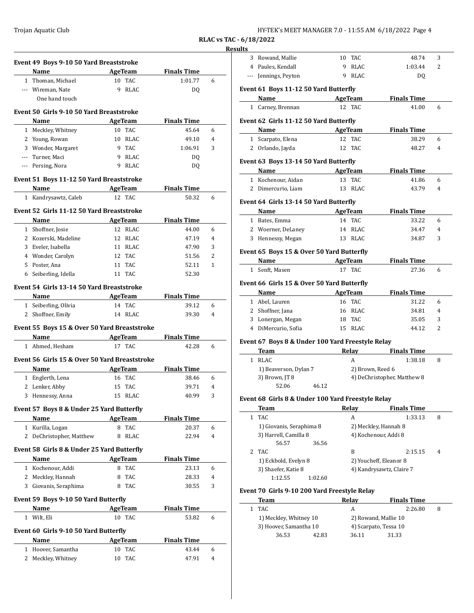| HY-TEK's MEET MANAGER 7.0 - 11:55 AM 6/18/2022 Page 4 |  |  |
|-------------------------------------------------------|--|--|
|-------------------------------------------------------|--|--|

**RLAC vs TAC - 6/18/2022 Results**

|              | Event 49 Boys 9-10 50 Yard Breaststroke<br>Name |    | AgeTeam              | <b>Finals Time</b> |                |
|--------------|-------------------------------------------------|----|----------------------|--------------------|----------------|
|              | 1 Thoman, Michael                               |    | 10 TAC               | 1:01.77            | 6              |
|              | --- Wireman, Nate                               | 9  | RLAC                 | DQ                 |                |
|              | One hand touch                                  |    |                      |                    |                |
|              |                                                 |    |                      |                    |                |
|              | Event 50 Girls 9-10 50 Yard Breaststroke        |    |                      |                    |                |
|              | Name                                            |    | <b>AgeTeam</b>       | <b>Finals Time</b> |                |
|              | 1 Meckley, Whitney                              |    | 10 TAC               | 45.64              | 6              |
|              | 2 Young, Rowan                                  |    | 10 RLAC              | 49.10              | 4              |
|              | 3 Wonder, Margaret                              | 9  | 9 TAC<br><b>RLAC</b> | 1:06.91            | 3              |
|              | --- Turner, Maci<br>--- Persing, Nora           | 9  | RLAC                 | DQ                 |                |
|              |                                                 |    |                      | DQ                 |                |
|              | Event 51 Boys 11-12 50 Yard Breaststroke        |    |                      |                    |                |
|              | Name                                            |    | <b>AgeTeam</b>       | <b>Finals Time</b> |                |
| $\mathbf{1}$ | Kandrysawtz, Caleb                              |    | 12 TAC               | 50.32              | 6              |
|              | Event 52 Girls 11-12 50 Yard Breaststroke       |    |                      |                    |                |
|              | Name                                            |    | AgeTeam              | <b>Finals Time</b> |                |
|              | 1 Shoffner, Josie                               |    | 12 RLAC              | 44.00              | 6              |
|              | 2 Kozerski, Madeline                            |    | 12 RLAC              | 47.19              | $\overline{4}$ |
|              | 3 Eveler, Isabella                              |    | 11 RLAC              | 47.90              | 3              |
|              | 4 Wonder, Carolyn                               |    | 12 TAC               | 51.56              | 2              |
|              | 5 Poster, Ana                                   | 11 | <b>TAC</b>           | 52.11              | $\mathbf{1}$   |
|              | 6 Seiberling, Idella                            |    | 11 TAC               | 52.30              |                |
|              | Event 54 Girls 13-14 50 Yard Breaststroke       |    |                      |                    |                |
|              | Name                                            |    | AgeTeam              | <b>Finals Time</b> |                |
|              | 1 Seiberling, Olivia                            |    | 14 TAC               | 39.12              | 6              |
|              | 2 Shoffner, Emily                               |    | 14 RLAC              | 39.30              | 4              |
|              |                                                 |    |                      |                    |                |
|              | Event 55 Boys 15 & Over 50 Yard Breaststroke    |    |                      |                    |                |
|              | Name                                            |    | AgeTeam              | <b>Finals Time</b> |                |
|              | 1 Ahmed, Hesham                                 |    | 17 TAC               | 42.28              | 6              |
|              | Event 56 Girls 15 & Over 50 Yard Breaststroke   |    |                      |                    |                |
|              | Name                                            |    | AgeTeam              | <b>Finals Time</b> |                |
|              | 1 Englerth, Lena                                |    | 16 TAC               | 38.46              | 6              |
| 2            | Lenker, Abby                                    | 15 | <b>TAC</b>           | 39.71              | 4              |
|              | 3 Hennessy, Anna                                | 15 | RLAC                 | 40.99              | 3              |
|              | Event 57 Boys 8 & Under 25 Yard Butterfly       |    |                      |                    |                |
|              | Name                                            |    | AgeTeam              | <b>Finals Time</b> |                |
|              | 1 Kurilla, Logan                                | 8  | <b>TAC</b>           | 20.37              | 6              |
| $\mathbf{2}$ | DeChristopher, Matthew                          | 8  | RLAC                 | 22.94              | $\overline{4}$ |
|              |                                                 |    |                      |                    |                |
|              | Event 58 Girls 8 & Under 25 Yard Butterfly      |    |                      |                    |                |
|              | Name                                            |    | AgeTeam              | <b>Finals Time</b> |                |
|              | 1 Kochenour, Addi                               | 8  | <b>TAC</b>           | 23.13              | 6              |
| 2            | Meckley, Hannah                                 | 8  | TAC                  | 28.33              | 4              |
|              | 3 Giovanis, Seraphima                           |    | 8 TAC                | 30.55              | 3              |
|              | Event 59 Boys 9-10 50 Yard Butterfly            |    |                      |                    |                |
|              | Name                                            |    | AgeTeam              | <b>Finals Time</b> |                |
|              | 1 Wilt, Eli                                     |    | 10 TAC               | 53.82              | 6              |
|              | Event 60 Girls 9-10 50 Yard Butterfly           |    |                      |                    |                |
|              |                                                 |    |                      |                    |                |
|              |                                                 |    |                      |                    |                |
|              | Name                                            |    | <b>AgeTeam</b>       | <b>Finals Time</b> |                |
| 2            | 1 Hoover, Samantha<br>Meckley, Whitney          | 10 | 10 TAC<br><b>TAC</b> | 43.44<br>47.91     | 6<br>4         |

| ults         | 3 Rowand, Mallie                                  | 10 | TAC              | 48.74                       | 3              |
|--------------|---------------------------------------------------|----|------------------|-----------------------------|----------------|
|              | 4 Paules, Kendall                                 | 9  | <b>RLAC</b>      | 1:03.44                     | 2              |
|              | --- Jennings, Peyton                              | 9  | RLAC             |                             |                |
|              |                                                   |    |                  | DQ                          |                |
|              | Event 61 Boys 11-12 50 Yard Butterfly             |    |                  |                             |                |
|              | Name AgeTeam                                      |    |                  | <b>Finals Time</b>          |                |
|              | 1 Carney, Brennan                                 |    | 12 TAC           | 41.00                       | 6              |
|              | Event 62 Girls 11-12 50 Yard Butterfly            |    |                  |                             |                |
|              | Name                                              |    | AgeTeam          | <b>Finals Time</b>          |                |
|              | 1 Scarpato, Elena                                 |    | 12 TAC           | 38.29                       | 6              |
|              | 2 Orlando, Jayda                                  |    | 12 TAC           | 48.27                       | 4              |
|              | Event 63 Boys 13-14 50 Yard Butterfly             |    |                  |                             |                |
|              | Name                                              |    | <b>AgeTeam</b>   | <b>Finals Time</b>          |                |
|              | 1 Kochenour, Aidan                                |    | 13 TAC           | 41.86                       | 6              |
|              | 2 Dimercurio, Liam                                |    | 13 RLAC          | 43.79                       | $\overline{4}$ |
|              |                                                   |    |                  |                             |                |
|              | Event 64 Girls 13-14 50 Yard Butterfly            |    |                  |                             |                |
|              | <b>Name</b>                                       |    | AgeTeam          | <b>Finals Time</b>          |                |
|              | 1 Bates, Emma                                     |    | 14 TAC           | 33.22                       | 6              |
|              | 2 Woerner, DeLaney                                |    | 14 RLAC          | 34.47                       | 4              |
|              | 3 Hennessy, Megan                                 |    | 13 RLAC          | 34.87                       | 3              |
|              | Event 65 Boys 15 & Over 50 Yard Butterfly         |    |                  |                             |                |
|              | Name                                              |    | AgeTeam          | <b>Finals Time</b>          |                |
|              | 1 Senft, Masen                                    |    | 17 TAC           | 27.36                       | 6              |
|              |                                                   |    |                  |                             |                |
|              |                                                   |    |                  |                             |                |
|              | Event 66 Girls 15 & Over 50 Yard Butterfly        |    |                  |                             |                |
|              | Name                                              |    | AgeTeam          | <b>Finals Time</b>          |                |
|              | 1 Abel, Lauren                                    |    | 16 TAC           | 31.22                       | 6              |
|              | 2 Shoffner, Jana                                  |    | 16 RLAC          | 34.81                       | 4              |
|              | 3 Lonergan, Megan                                 |    | 18 TAC           | 35.05                       | 3              |
|              | 4 DiMercurio, Sofia                               |    | 15 RLAC          | 44.12                       | 2              |
|              | Event 67 Boys 8 & Under 100 Yard Freestyle Relay  |    |                  |                             |                |
|              | Team                                              |    | Relay            | <b>Finals Time</b>          |                |
|              | 1 RLAC                                            |    | A                | 1:38.18                     | 8              |
|              | 1) Beaverson, Dylan 7                             |    | 2) Brown, Reed 6 |                             |                |
|              | 3) Brown, JT 8                                    |    |                  | 4) DeChristopher, Matthew 8 |                |
|              | 52.06<br>46.12                                    |    |                  |                             |                |
|              | Event 68 Girls 8 & Under 100 Yard Freestyle Relay |    |                  |                             |                |
|              | Team                                              |    | Relay            | <b>Finals Time</b>          |                |
| $\mathbf 1$  | TAC                                               |    | A                | 1:33.13                     | 8              |
|              | 1) Giovanis, Seraphima 8                          |    |                  | 2) Meckley, Hannah 8        |                |
|              | 3) Harrell, Camilla 8                             |    |                  | 4) Kochenour, Addi 8        |                |
|              | 56.57<br>36.56                                    |    |                  |                             |                |
| 2            | TAC                                               |    | B                | 2:15.15                     | 4              |
|              | 1) Eckbold, Evelyn 8                              |    |                  | 2) Youcheff, Eleanor 8      |                |
|              | 3) Shaefer, Katie 8                               |    |                  | 4) Kandrysawtz, Claire 7    |                |
|              | 1:12.55<br>1:02.60                                |    |                  |                             |                |
|              | Event 70 Girls 9-10 200 Yard Freestyle Relay      |    |                  |                             |                |
|              | Team                                              |    | <b>Relay</b>     | <b>Finals Time</b>          |                |
| $\mathbf{1}$ | <b>TAC</b>                                        |    | A                | 2:26.80                     | 8              |
|              | 1) Meckley, Whitney 10                            |    |                  | 2) Rowand, Mallie 10        |                |
|              | 3) Hoover, Samantha 10                            |    |                  | 4) Scarpato, Tessa 10       |                |